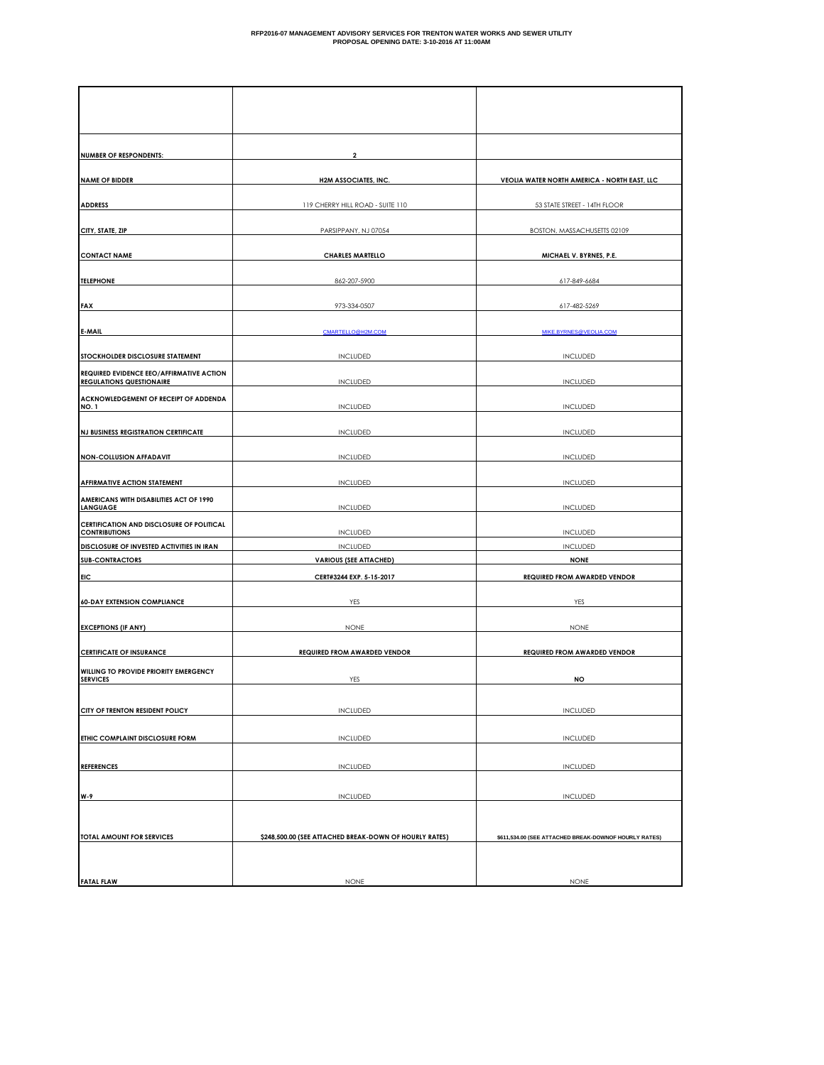| <b>NUMBER OF RESPONDENTS:</b>                                                  | 2                                                      |                                                       |
|--------------------------------------------------------------------------------|--------------------------------------------------------|-------------------------------------------------------|
| <b>NAME OF BIDDER</b>                                                          | <b>H2M ASSOCIATES, INC.</b>                            | VEOLIA WATER NORTH AMERICA - NORTH EAST, LLC          |
| <b>ADDRESS</b>                                                                 | 119 CHERRY HILL ROAD - SUITE 110                       | 53 STATE STREET - 14TH FLOOR                          |
| CITY, STATE, ZIP                                                               | PARSIPPANY, NJ 07054                                   | BOSTON, MASSACHUSETTS 02109                           |
| <b>CONTACT NAME</b>                                                            | <b>CHARLES MARTELLO</b>                                | MICHAEL V. BYRNES, P.E.                               |
| <b>TELEPHONE</b>                                                               | 862-207-5900                                           | 617-849-6684                                          |
| <b>FAX</b>                                                                     | 973-334-0507                                           | 617-482-5269                                          |
| E-MAIL                                                                         | CMARTELLO@H2M.COM                                      | MIKE.BYRNES@VEOLIA.COM                                |
|                                                                                |                                                        |                                                       |
| STOCKHOLDER DISCLOSURE STATEMENT<br>REQUIRED EVIDENCE EEO/AFFIRMATIVE ACTION   | INCLUDED                                               | INCLUDED                                              |
| <b>REGULATIONS QUESTIONAIRE</b>                                                | INCLUDED                                               | INCLUDED                                              |
| ACKNOWLEDGEMENT OF RECEIPT OF ADDENDA<br>NO. 1                                 | INCLUDED                                               | INCLUDED                                              |
| <b>NJ BUSINESS REGISTRATION CERTIFICATE</b>                                    | <b>INCLUDED</b>                                        | <b>INCLUDED</b>                                       |
| <b>NON-COLLUSION AFFADAVIT</b>                                                 | <b>INCLUDED</b>                                        | <b>INCLUDED</b>                                       |
|                                                                                |                                                        |                                                       |
| <b>AFFIRMATIVE ACTION STATEMENT</b><br>AMERICANS WITH DISABILITIES ACT OF 1990 | <b>INCLUDED</b>                                        | <b>INCLUDED</b>                                       |
| <b>LANGUAGE</b>                                                                | <b>INCLUDED</b>                                        | <b>INCLUDED</b>                                       |
| CERTIFICATION AND DISCLOSURE OF POLITICAL<br><b>CONTRIBUTIONS</b>              | <b>INCLUDED</b>                                        | <b>INCLUDED</b>                                       |
| DISCLOSURE OF INVESTED ACTIVITIES IN IRAN<br><b>SUB-CONTRACTORS</b>            | <b>INCLUDED</b><br><b>VARIOUS (SEE ATTACHED)</b>       | <b>INCLUDED</b><br><b>NONE</b>                        |
| <b>EIC</b>                                                                     | CERT#3244 EXP. 5-15-2017                               | <b>REQUIRED FROM AWARDED VENDOR</b>                   |
| <b>60-DAY EXTENSION COMPLIANCE</b>                                             | YES                                                    | YES                                                   |
|                                                                                |                                                        |                                                       |
| <b>EXCEPTIONS (IF ANY)</b>                                                     | <b>NONE</b>                                            | <b>NONE</b>                                           |
| <b>CERTIFICATE OF INSURANCE</b>                                                | <b>REQUIRED FROM AWARDED VENDOR</b>                    | <b>REQUIRED FROM AWARDED VENDOR</b>                   |
| WILLING TO PROVIDE PRIORITY EMERGENCY<br><b>SERVICES</b>                       | YES                                                    | NO                                                    |
|                                                                                |                                                        |                                                       |
| CITY OF TRENTON RESIDENT POLICY                                                | <b>INCLUDED</b>                                        | <b>INCLUDED</b>                                       |
| ETHIC COMPLAINT DISCLOSURE FORM                                                | <b>INCLUDED</b>                                        | <b>INCLUDED</b>                                       |
| <b>REFERENCES</b>                                                              | <b>INCLUDED</b>                                        | INCLUDED                                              |
|                                                                                |                                                        |                                                       |
| W-9                                                                            | <b>INCLUDED</b>                                        | <b>INCLUDED</b>                                       |
|                                                                                | \$248,500.00 (SEE ATTACHED BREAK-DOWN OF HOURLY RATES) |                                                       |
| TOTAL AMOUNT FOR SERVICES                                                      |                                                        | \$611,534.00 (SEE ATTACHED BREAK-DOWNOF HOURLY RATES) |
|                                                                                |                                                        |                                                       |
| <b>FATAL FLAW</b>                                                              | <b>NONE</b>                                            | <b>NONE</b>                                           |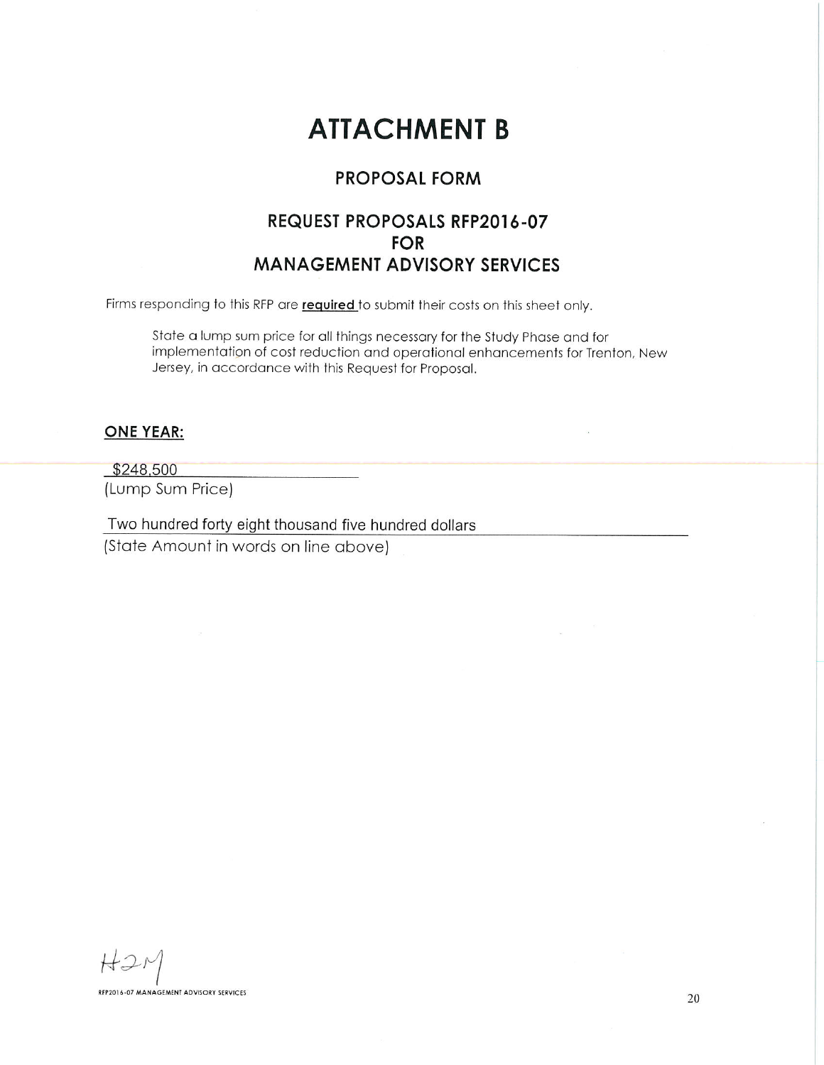# **ATTACHMENT B**

## **PROPOSAL FORM**

## REQUEST PROPOSALS RFP2016-07 **FOR MANAGEMENT ADVISORY SERVICES**

Firms responding to this RFP are required to submit their costs on this sheet only.

State a lump sum price for all things necessary for the Study Phase and for implementation of cost reduction and operational enhancements for Trenton, New Jersey, in accordance with this Request for Proposal.

### **ONE YEAR:**

 $$248,500$ (Lump Sum Price)

Two hundred forty eight thousand five hundred dollars

(State Amount in words on line above)

RFP2016-07 MANAGEMENT ADVISORY SERVICES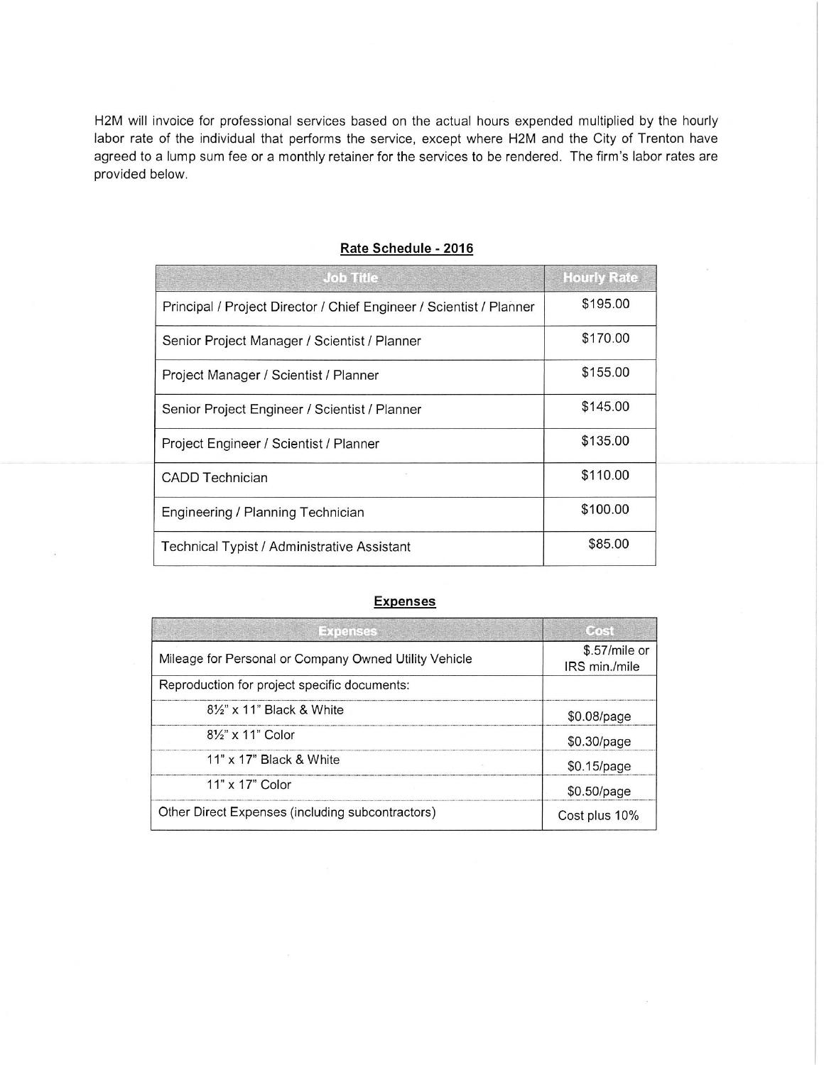H2M will invoice for professional services based on the actual hours expended multiplied by the hourly labor rate of the individual that performs the service, except where H2M and the City of Trenton have agreed to a lump sum fee or a monthly retainer for the services to be rendered. The firm's labor rates are provided below.

| <b>图 10 单位 2 字 图 10 字 图</b><br>$J$ ob $H$ le                        | <b>Hourly Rate</b> |
|---------------------------------------------------------------------|--------------------|
| Principal / Project Director / Chief Engineer / Scientist / Planner | \$195.00           |
| Senior Project Manager / Scientist / Planner                        | \$170.00           |
| Project Manager / Scientist / Planner                               | \$155.00           |
| Senior Project Engineer / Scientist / Planner                       | \$145.00           |
| Project Engineer / Scientist / Planner                              | \$135.00           |
| <b>CADD Technician</b>                                              | \$110.00           |
| Engineering / Planning Technician                                   | \$100.00           |
| Technical Typist / Administrative Assistant                         | \$85.00            |

#### Rate Schedule - 2016

#### **Expenses**

| $-1091825$                                            | <b>Brakin</b>                   |
|-------------------------------------------------------|---------------------------------|
| Mileage for Personal or Company Owned Utility Vehicle | $$.57/mile$ or<br>IRS min./mile |
| Reproduction for project specific documents:          |                                 |
| $8\frac{1}{2}$ " x 11" Black & White                  | \$0.08/page                     |
| $8\frac{1}{2}$ x 11" Color                            | $$0.30$ /page                   |
| $11"$ x $17"$ Black & White                           | \$0.15/page                     |
| $11" \times 17"$ Color                                | $$0.50$ /page                   |
| Other Direct Expenses (including subcontractors)      | Cost plus 10%                   |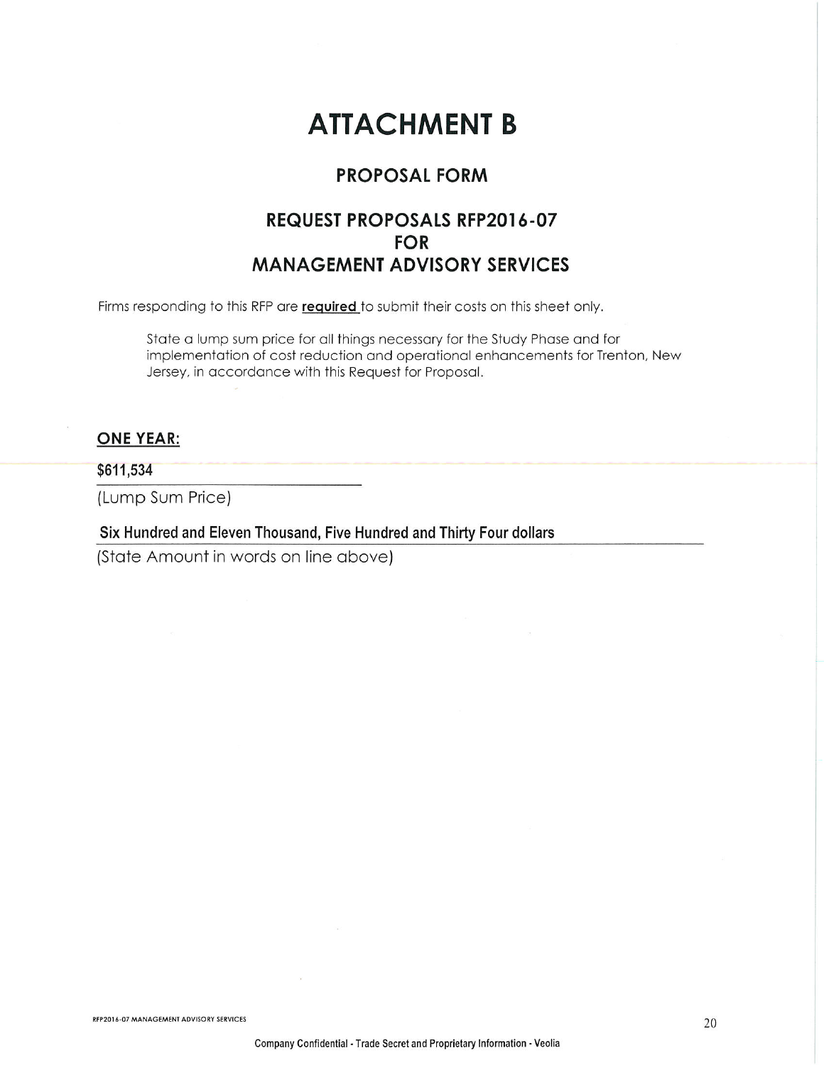# **ATTACHMENT B**

## **PROPOSAL FORM**

# **REQUEST PROPOSALS RFP2016-07 FOR MANAGEMENT ADVISORY SERVICES**

Firms responding to this RFP are required to submit their costs on this sheet only.

State a lump sum price for all things necessary for the Study Phase and for implementation of cost reduction and operational enhancements for Trenton, New Jersey, in accordance with this Request for Proposal.

## **ONE YEAR:**

### \$611,534

(Lump Sum Price)

Six Hundred and Eleven Thousand, Five Hundred and Thirty Four dollars

(State Amount in words on line above)